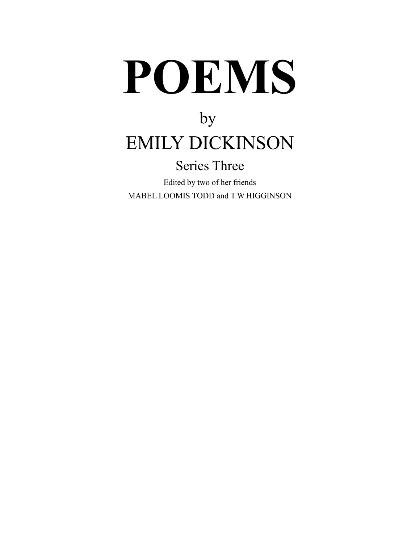# **POEMS**

# by EMILY DICKINSON

### Series Three

Edited by two of her friends MABEL LOOMIS TODD and T.W.HIGGINSON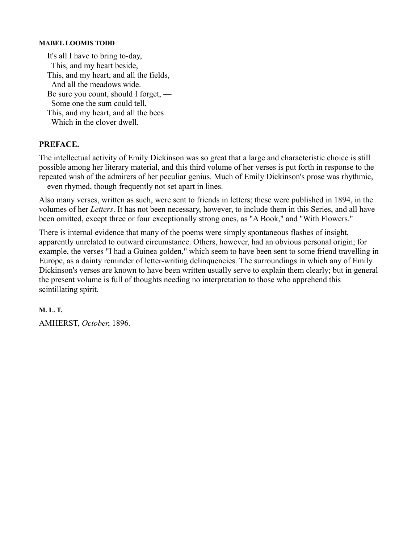#### **MABEL LOOMIS TODD**

It's all I have to bring to-day, This, and my heart beside, This, and my heart, and all the fields, And all the meadows wide. Be sure you count, should I forget, — Some one the sum could tell, — This, and my heart, and all the bees Which in the clover dwell.

#### **PREFACE.**

The intellectual activity of Emily Dickinson was so great that a large and characteristic choice is still possible among her literary material, and this third volume of her verses is put forth in response to the repeated wish of the admirers of her peculiar genius. Much of Emily Dickinson's prose was rhythmic, —even rhymed, though frequently not set apart in lines.

Also many verses, written as such, were sent to friends in letters; these were published in 1894, in the volumes of her *Letters*. It has not been necessary, however, to include them in this Series, and all have been omitted, except three or four exceptionally strong ones, as "A Book," and "With Flowers."

There is internal evidence that many of the poems were simply spontaneous flashes of insight, apparently unrelated to outward circumstance. Others, however, had an obvious personal origin; for example, the verses "I had a Guinea golden," which seem to have been sent to some friend travelling in Europe, as a dainty reminder of letter-writing delinquencies. The surroundings in which any of Emily Dickinson's verses are known to have been written usually serve to explain them clearly; but in general the present volume is full of thoughts needing no interpretation to those who apprehend this scintillating spirit.

#### **M. L. T.**

AMHERST, *October*, 1896.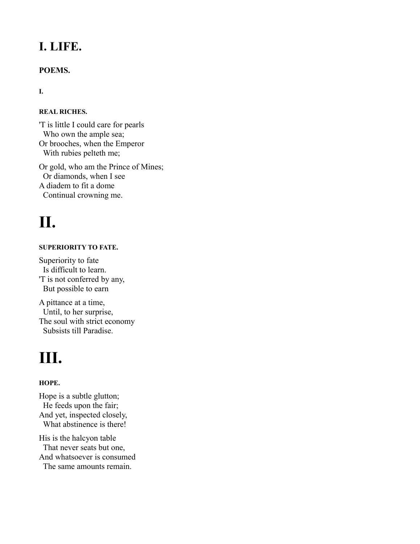### **I. LIFE.**

#### **POEMS.**

#### **I.**

#### **REAL RICHES.**

'T is little I could care for pearls Who own the ample sea; Or brooches, when the Emperor With rubies pelteth me;

Or gold, who am the Prince of Mines; Or diamonds, when I see A diadem to fit a dome Continual crowning me.

### **II.**

#### **SUPERIORITY TO FATE.**

Superiority to fate Is difficult to learn. 'T is not conferred by any, But possible to earn

A pittance at a time, Until, to her surprise, The soul with strict economy Subsists till Paradise.

### **III.**

#### **HOPE.**

Hope is a subtle glutton; He feeds upon the fair; And yet, inspected closely, What abstinence is there! His is the halcyon table

That never seats but one, And whatsoever is consumed The same amounts remain.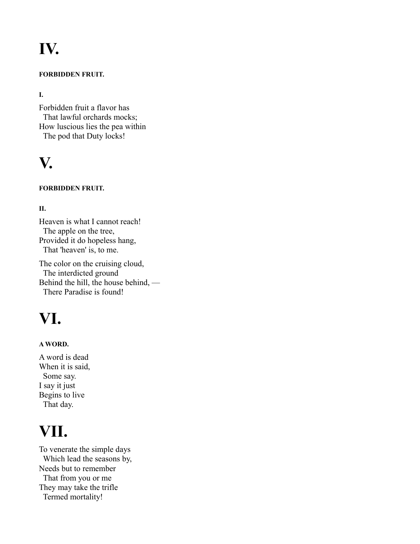# **IV.**

#### **FORBIDDEN FRUIT.**

#### **I.**

Forbidden fruit a flavor has That lawful orchards mocks; How luscious lies the pea within The pod that Duty locks!

### **V.**

#### **FORBIDDEN FRUIT.**

#### **II.**

Heaven is what I cannot reach! The apple on the tree, Provided it do hopeless hang, That 'heaven' is, to me.

The color on the cruising cloud, The interdicted ground Behind the hill, the house behind, — There Paradise is found!

### **VI.**

#### **A WORD.**

A word is dead When it is said, Some say. I say it just Begins to live That day.

### **VII.**

To venerate the simple days Which lead the seasons by, Needs but to remember That from you or me They may take the trifle Termed mortality!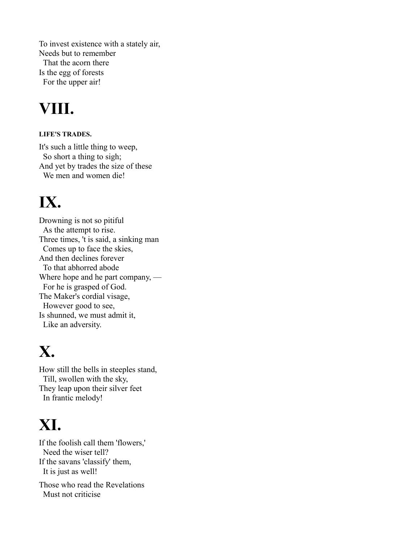To invest existence with a stately air, Needs but to remember That the acorn there Is the egg of forests For the upper air!

### **VIII.**

#### **LIFE'S TRADES.**

It's such a little thing to weep, So short a thing to sigh; And yet by trades the size of these We men and women die!

### **IX.**

Drowning is not so pitiful As the attempt to rise. Three times, 't is said, a sinking man Comes up to face the skies, And then declines forever To that abhorred abode Where hope and he part company, — For he is grasped of God. The Maker's cordial visage, However good to see, Is shunned, we must admit it, Like an adversity.

### **X.**

How still the bells in steeples stand, Till, swollen with the sky, They leap upon their silver feet In frantic melody!

# **XI.**

If the foolish call them 'flowers,' Need the wiser tell? If the savans 'classify' them, It is just as well!

Those who read the Revelations Must not criticise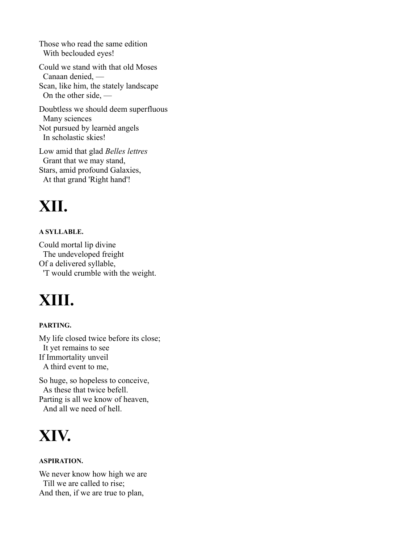Those who read the same edition With beclouded eyes!

Could we stand with that old Moses Canaan denied, — Scan, like him, the stately landscape On the other side, —

Doubtless we should deem superfluous Many sciences Not pursued by learnèd angels In scholastic skies!

Low amid that glad *Belles lettres* Grant that we may stand, Stars, amid profound Galaxies, At that grand 'Right hand'!

# **XII.**

#### **A SYLLABLE.**

Could mortal lip divine The undeveloped freight Of a delivered syllable, 'T would crumble with the weight.

### **XIII.**

#### **PARTING.**

My life closed twice before its close; It yet remains to see If Immortality unveil A third event to me,

So huge, so hopeless to conceive, As these that twice befell. Parting is all we know of heaven, And all we need of hell.

### **XIV.**

#### **ASPIRATION.**

We never know how high we are Till we are called to rise; And then, if we are true to plan,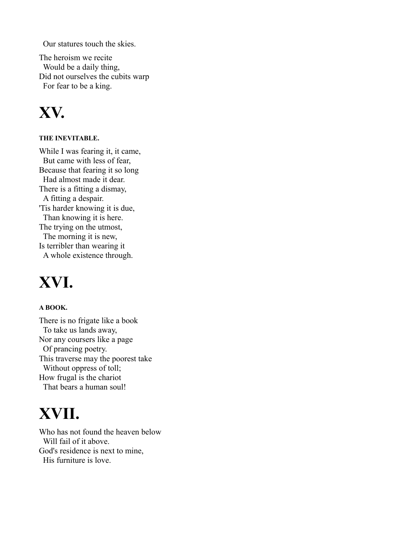Our statures touch the skies.

The heroism we recite Would be a daily thing, Did not ourselves the cubits warp For fear to be a king.

### **XV.**

#### **THE INEVITABLE.**

While I was fearing it, it came, But came with less of fear, Because that fearing it so long Had almost made it dear. There is a fitting a dismay, A fitting a despair. 'Tis harder knowing it is due, Than knowing it is here. The trying on the utmost, The morning it is new, Is terribler than wearing it A whole existence through.

### **XVI.**

#### **A BOOK.**

There is no frigate like a book To take us lands away, Nor any coursers like a page Of prancing poetry. This traverse may the poorest take Without oppress of toll; How frugal is the chariot That bears a human soul!

### **XVII.**

Who has not found the heaven below Will fail of it above. God's residence is next to mine, His furniture is love.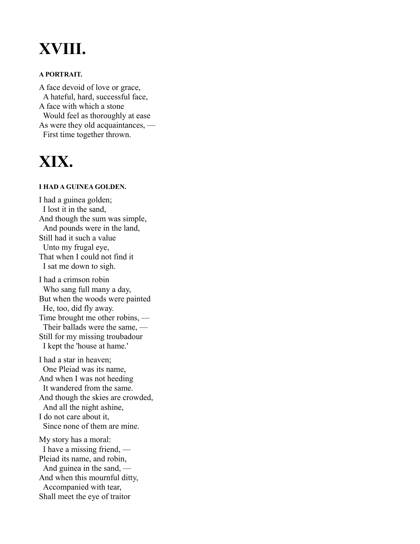### **XVIII.**

#### **A PORTRAIT.**

A face devoid of love or grace, A hateful, hard, successful face, A face with which a stone Would feel as thoroughly at ease As were they old acquaintances, — First time together thrown.

### **XIX.**

#### **I HAD A GUINEA GOLDEN.**

I had a guinea golden; I lost it in the sand, And though the sum was simple, And pounds were in the land, Still had it such a value Unto my frugal eye, That when I could not find it I sat me down to sigh. I had a crimson robin Who sang full many a day, But when the woods were painted He, too, did fly away. Time brought me other robins, — Their ballads were the same, — Still for my missing troubadour I kept the 'house at hame.'

I had a star in heaven; One Pleiad was its name, And when I was not heeding It wandered from the same. And though the skies are crowded, And all the night ashine, I do not care about it, Since none of them are mine.

My story has a moral: I have a missing friend, — Pleiad its name, and robin, And guinea in the sand, — And when this mournful ditty, Accompanied with tear, Shall meet the eye of traitor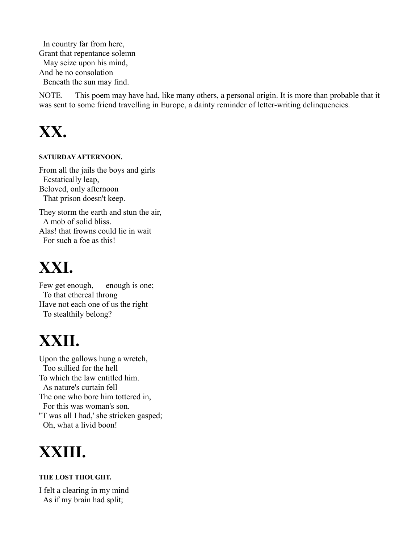In country far from here, Grant that repentance solemn May seize upon his mind, And he no consolation Beneath the sun may find.

NOTE. — This poem may have had, like many others, a personal origin. It is more than probable that it was sent to some friend travelling in Europe, a dainty reminder of letter-writing delinquencies.

### **XX.**

#### **SATURDAY AFTERNOON.**

From all the jails the boys and girls Ecstatically leap, — Beloved, only afternoon That prison doesn't keep.

They storm the earth and stun the air, A mob of solid bliss. Alas! that frowns could lie in wait For such a foe as this!

### **XXI.**

Few get enough, — enough is one; To that ethereal throng Have not each one of us the right To stealthily belong?

# **XXII.**

Upon the gallows hung a wretch, Too sullied for the hell To which the law entitled him. As nature's curtain fell The one who bore him tottered in, For this was woman's son. ''T was all I had,' she stricken gasped; Oh, what a livid boon!

### **XXIII.**

#### **THE LOST THOUGHT.**

I felt a clearing in my mind As if my brain had split;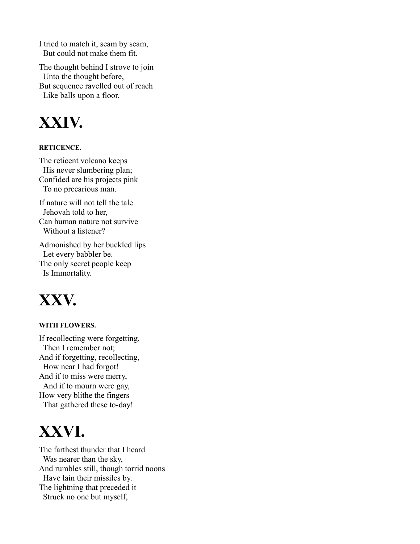I tried to match it, seam by seam, But could not make them fit.

The thought behind I strove to join Unto the thought before, But sequence ravelled out of reach Like balls upon a floor.

### **XXIV.**

#### **RETICENCE.**

The reticent volcano keeps His never slumbering plan; Confided are his projects pink To no precarious man.

If nature will not tell the tale Jehovah told to her, Can human nature not survive Without a listener?

Admonished by her buckled lips Let every babbler be. The only secret people keep Is Immortality.

### **XXV.**

#### **WITH FLOWERS.**

If recollecting were forgetting, Then I remember not; And if forgetting, recollecting, How near I had forgot! And if to miss were merry, And if to mourn were gay, How very blithe the fingers That gathered these to-day!

### **XXVI.**

The farthest thunder that I heard Was nearer than the sky, And rumbles still, though torrid noons Have lain their missiles by. The lightning that preceded it Struck no one but myself,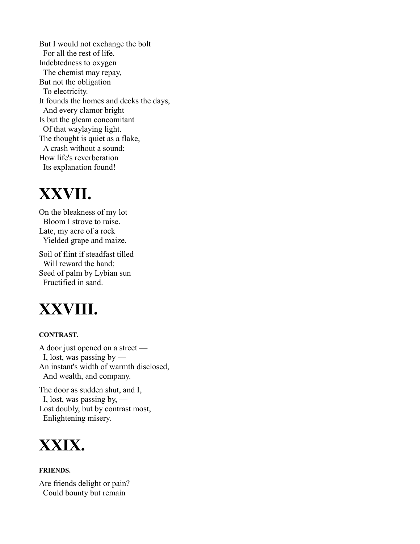But I would not exchange the bolt For all the rest of life. Indebtedness to oxygen The chemist may repay, But not the obligation To electricity. It founds the homes and decks the days, And every clamor bright Is but the gleam concomitant Of that waylaying light. The thought is quiet as a flake, — A crash without a sound; How life's reverberation Its explanation found!

### **XXVII.**

On the bleakness of my lot Bloom I strove to raise. Late, my acre of a rock Yielded grape and maize.

Soil of flint if steadfast tilled Will reward the hand; Seed of palm by Lybian sun Fructified in sand.

### **XXVIII.**

#### **CONTRAST.**

A door just opened on a street — I, lost, was passing by — An instant's width of warmth disclosed, And wealth, and company.

The door as sudden shut, and I, I, lost, was passing by, — Lost doubly, but by contrast most, Enlightening misery.



#### **FRIENDS.**

Are friends delight or pain? Could bounty but remain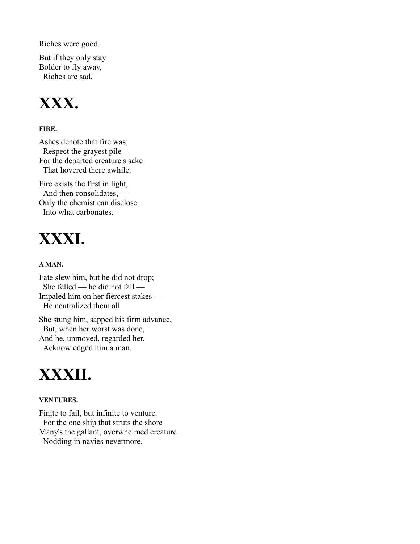Riches were good.

But if they only stay Bolder to fly away, Riches are sad.



#### **FIRE.**

Ashes denote that fire was; Respect the grayest pile For the departed creature's sake That hovered there awhile.

Fire exists the first in light, And then consolidates, — Only the chemist can disclose Into what carbonates.

### **XXXI.**

#### **A MAN.**

Fate slew him, but he did not drop; She felled — he did not fall — Impaled him on her fiercest stakes — He neutralized them all.

She stung him, sapped his firm advance, But, when her worst was done, And he, unmoved, regarded her, Acknowledged him a man.

### **XXXII.**

#### **VENTURES.**

Finite to fail, but infinite to venture. For the one ship that struts the shore Many's the gallant, overwhelmed creature Nodding in navies nevermore.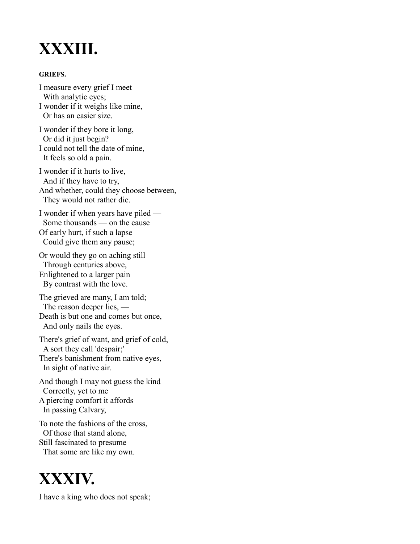### **XXXIII.**

#### **GRIEFS.**

I measure every grief I meet With analytic eyes; I wonder if it weighs like mine, Or has an easier size.

I wonder if they bore it long, Or did it just begin? I could not tell the date of mine, It feels so old a pain.

I wonder if it hurts to live, And if they have to try, And whether, could they choose between, They would not rather die.

I wonder if when years have piled — Some thousands — on the cause Of early hurt, if such a lapse Could give them any pause;

Or would they go on aching still Through centuries above, Enlightened to a larger pain By contrast with the love.

The grieved are many, I am told; The reason deeper lies, — Death is but one and comes but once, And only nails the eyes.

There's grief of want, and grief of cold, — A sort they call 'despair;' There's banishment from native eyes, In sight of native air.

And though I may not guess the kind Correctly, yet to me A piercing comfort it affords In passing Calvary,

To note the fashions of the cross, Of those that stand alone, Still fascinated to presume That some are like my own.

### **XXXIV.**

I have a king who does not speak;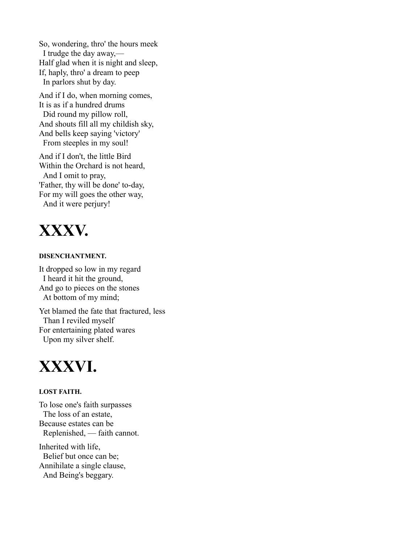So, wondering, thro' the hours meek I trudge the day away,— Half glad when it is night and sleep, If, haply, thro' a dream to peep In parlors shut by day.

And if I do, when morning comes, It is as if a hundred drums Did round my pillow roll, And shouts fill all my childish sky, And bells keep saying 'victory' From steeples in my soul!

And if I don't, the little Bird Within the Orchard is not heard, And I omit to pray, 'Father, thy will be done' to-day, For my will goes the other way, And it were perjury!



#### **DISENCHANTMENT.**

It dropped so low in my regard I heard it hit the ground, And go to pieces on the stones At bottom of my mind;

Yet blamed the fate that fractured, less Than I reviled myself For entertaining plated wares Upon my silver shelf.



#### **LOST FAITH.**

To lose one's faith surpasses The loss of an estate, Because estates can be Replenished, — faith cannot. Inherited with life, Belief but once can be; Annihilate a single clause, And Being's beggary.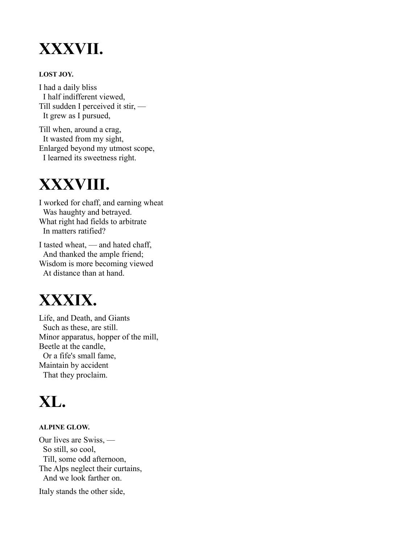### **XXXVII.**

#### **LOST JOY.**

I had a daily bliss I half indifferent viewed, Till sudden I perceived it stir, — It grew as I pursued,

Till when, around a crag, It wasted from my sight, Enlarged beyond my utmost scope, I learned its sweetness right.

### **XXXVIII.**

I worked for chaff, and earning wheat Was haughty and betrayed. What right had fields to arbitrate In matters ratified?

I tasted wheat, — and hated chaff, And thanked the ample friend; Wisdom is more becoming viewed At distance than at hand.

### **XXXIX.**

Life, and Death, and Giants Such as these, are still. Minor apparatus, hopper of the mill, Beetle at the candle, Or a fife's small fame, Maintain by accident That they proclaim.

### **XL.**

#### **ALPINE GLOW.**

Our lives are Swiss, — So still, so cool, Till, some odd afternoon, The Alps neglect their curtains, And we look farther on.

Italy stands the other side,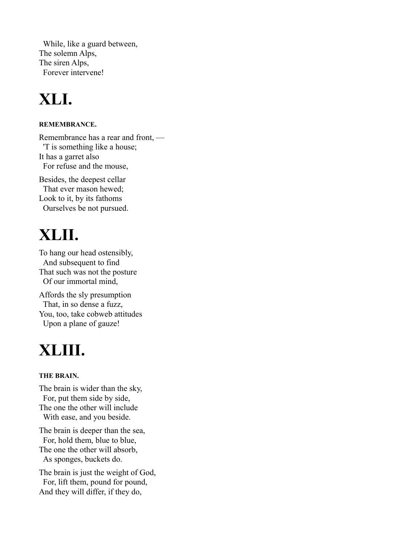While, like a guard between, The solemn Alps, The siren Alps, Forever intervene!

# **XLI.**

#### **REMEMBRANCE.**

Remembrance has a rear and front, — 'T is something like a house; It has a garret also For refuse and the mouse,

Besides, the deepest cellar That ever mason hewed; Look to it, by its fathoms Ourselves be not pursued.

# **XLII.**

To hang our head ostensibly, And subsequent to find That such was not the posture Of our immortal mind,

Affords the sly presumption That, in so dense a fuzz, You, too, take cobweb attitudes Upon a plane of gauze!

# **XLIII.**

#### **THE BRAIN.**

The brain is wider than the sky, For, put them side by side, The one the other will include With ease, and you beside.

The brain is deeper than the sea, For, hold them, blue to blue, The one the other will absorb, As sponges, buckets do.

The brain is just the weight of God, For, lift them, pound for pound, And they will differ, if they do,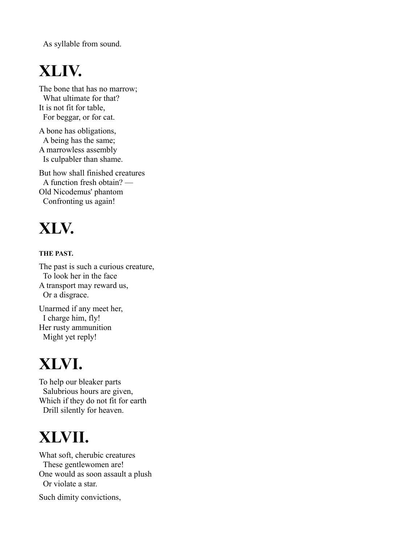As syllable from sound.

# **XLIV.**

The bone that has no marrow; What ultimate for that? It is not fit for table, For beggar, or for cat.

A bone has obligations, A being has the same; A marrowless assembly Is culpabler than shame.

But how shall finished creatures A function fresh obtain? — Old Nicodemus' phantom Confronting us again!

# **XLV.**

#### **THE PAST.**

The past is such a curious creature, To look her in the face A transport may reward us, Or a disgrace. Unarmed if any meet her,

I charge him, fly! Her rusty ammunition Might yet reply!

# **XLVI.**

To help our bleaker parts Salubrious hours are given, Which if they do not fit for earth Drill silently for heaven.

# **XLVII.**

What soft, cherubic creatures These gentlewomen are! One would as soon assault a plush Or violate a star.

Such dimity convictions,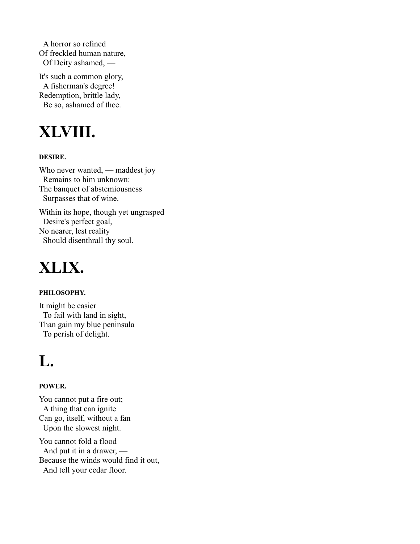A horror so refined Of freckled human nature, Of Deity ashamed, —

It's such a common glory, A fisherman's degree! Redemption, brittle lady, Be so, ashamed of thee.

# **XLVIII.**

#### **DESIRE.**

Who never wanted, — maddest joy Remains to him unknown: The banquet of abstemiousness Surpasses that of wine.

Within its hope, though yet ungrasped Desire's perfect goal, No nearer, lest reality Should disenthrall thy soul.

### **XLIX.**

#### **PHILOSOPHY.**

It might be easier To fail with land in sight, Than gain my blue peninsula To perish of delight.

### **L.**

#### **POWER.**

You cannot put a fire out; A thing that can ignite Can go, itself, without a fan Upon the slowest night.

You cannot fold a flood And put it in a drawer, — Because the winds would find it out, And tell your cedar floor.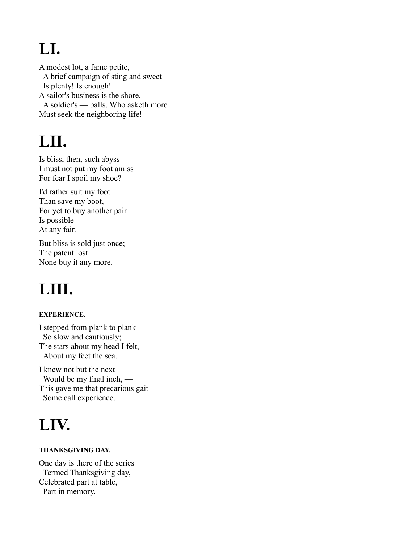# **LI.**

A modest lot, a fame petite, A brief campaign of sting and sweet Is plenty! Is enough! A sailor's business is the shore, A soldier's — balls. Who asketh more Must seek the neighboring life!

### **LII.**

Is bliss, then, such abyss I must not put my foot amiss For fear I spoil my shoe?

I'd rather suit my foot Than save my boot, For yet to buy another pair Is possible At any fair.

But bliss is sold just once; The patent lost None buy it any more.

# **LIII.**

#### **EXPERIENCE.**

I stepped from plank to plank So slow and cautiously; The stars about my head I felt, About my feet the sea.

I knew not but the next Would be my final inch, — This gave me that precarious gait Some call experience.

### **LIV.**

#### **THANKSGIVING DAY.**

One day is there of the series Termed Thanksgiving day, Celebrated part at table, Part in memory.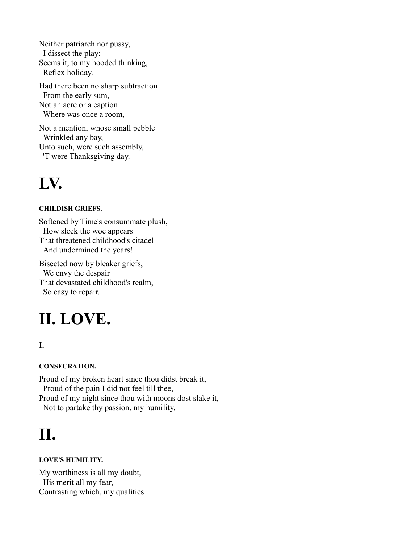Neither patriarch nor pussy, I dissect the play; Seems it, to my hooded thinking, Reflex holiday.

Had there been no sharp subtraction From the early sum, Not an acre or a caption Where was once a room,

Not a mention, whose small pebble Wrinkled any bay, — Unto such, were such assembly, 'T were Thanksgiving day.

### **LV.**

#### **CHILDISH GRIEFS.**

Softened by Time's consummate plush, How sleek the woe appears That threatened childhood's citadel And undermined the years! Bisected now by bleaker griefs,

We envy the despair That devastated childhood's realm, So easy to repair.

### **II. LOVE.**

#### **I.**

**CONSECRATION.**

Proud of my broken heart since thou didst break it, Proud of the pain I did not feel till thee, Proud of my night since thou with moons dost slake it, Not to partake thy passion, my humility.

# **II.**

#### **LOVE'S HUMILITY.**

My worthiness is all my doubt, His merit all my fear, Contrasting which, my qualities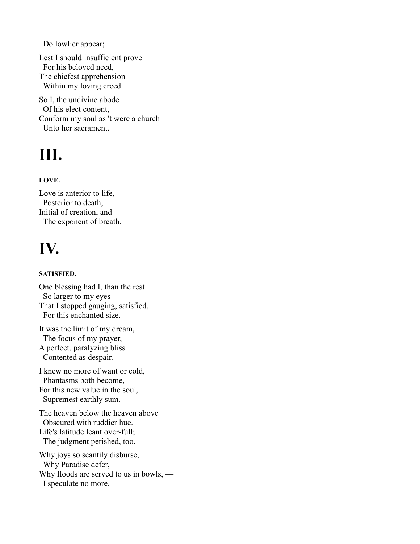Do lowlier appear;

Lest I should insufficient prove For his beloved need, The chiefest apprehension Within my loving creed.

So I, the undivine abode Of his elect content, Conform my soul as 't were a church Unto her sacrament.

# **III.**

#### **LOVE.**

Love is anterior to life, Posterior to death, Initial of creation, and The exponent of breath.

# **IV.**

#### **SATISFIED.**

One blessing had I, than the rest So larger to my eyes That I stopped gauging, satisfied, For this enchanted size.

It was the limit of my dream, The focus of my prayer, — A perfect, paralyzing bliss Contented as despair.

I knew no more of want or cold, Phantasms both become, For this new value in the soul, Supremest earthly sum.

The heaven below the heaven above Obscured with ruddier hue. Life's latitude leant over-full; The judgment perished, too.

Why joys so scantily disburse, Why Paradise defer, Why floods are served to us in bowls, — I speculate no more.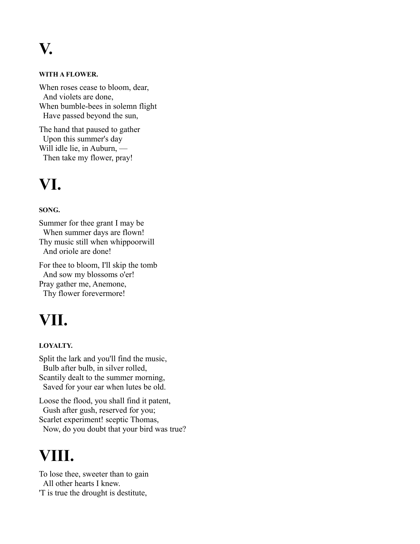**V.**

#### **WITH A FLOWER.**

When roses cease to bloom, dear, And violets are done, When bumble-bees in solemn flight Have passed beyond the sun,

The hand that paused to gather Upon this summer's day Will idle lie, in Auburn, — Then take my flower, pray!

### **VI.**

#### **SONG.**

Summer for thee grant I may be When summer days are flown! Thy music still when whippoorwill And oriole are done!

For thee to bloom, I'll skip the tomb And sow my blossoms o'er! Pray gather me, Anemone, Thy flower forevermore!

### **VII.**

#### **LOYALTY.**

Split the lark and you'll find the music, Bulb after bulb, in silver rolled, Scantily dealt to the summer morning, Saved for your ear when lutes be old.

Loose the flood, you shall find it patent, Gush after gush, reserved for you; Scarlet experiment! sceptic Thomas, Now, do you doubt that your bird was true?

### **VIII.**

To lose thee, sweeter than to gain All other hearts I knew. 'T is true the drought is destitute,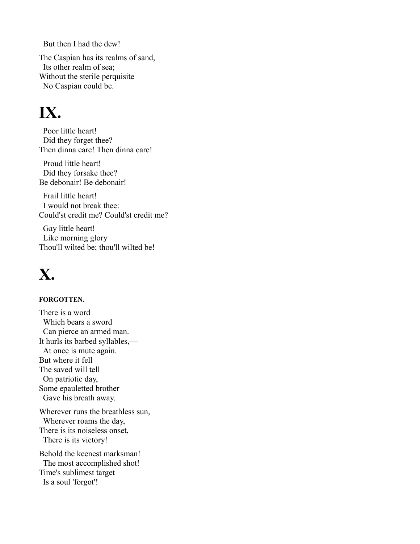But then I had the dew!

The Caspian has its realms of sand, Its other realm of sea; Without the sterile perquisite No Caspian could be.

### **IX.**

Poor little heart! Did they forget thee? Then dinna care! Then dinna care!

Proud little heart! Did they forsake thee? Be debonair! Be debonair!

Frail little heart! I would not break thee: Could'st credit me? Could'st credit me?

Gay little heart! Like morning glory Thou'll wilted be; thou'll wilted be!

### **X.**

#### **FORGOTTEN.**

There is a word Which bears a sword Can pierce an armed man. It hurls its barbed syllables,— At once is mute again. But where it fell The saved will tell On patriotic day, Some epauletted brother Gave his breath away. Wherever runs the breathless sun, Wherever roams the day, There is its noiseless onset, There is its victory! Behold the keenest marksman!

The most accomplished shot! Time's sublimest target Is a soul 'forgot'!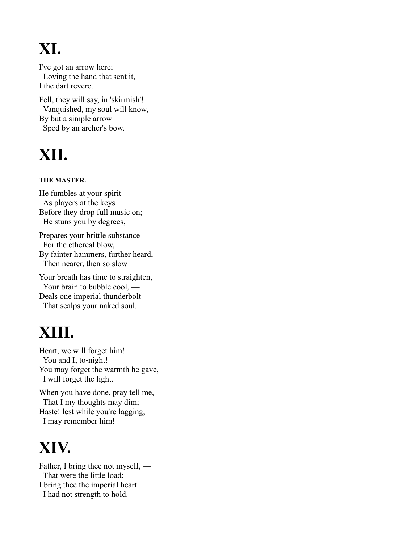# **XI.**

I've got an arrow here; Loving the hand that sent it, I the dart revere.

Fell, they will say, in 'skirmish'! Vanquished, my soul will know, By but a simple arrow Sped by an archer's bow.

# **XII.**

#### **THE MASTER.**

He fumbles at your spirit As players at the keys Before they drop full music on; He stuns you by degrees,

Prepares your brittle substance For the ethereal blow, By fainter hammers, further heard, Then nearer, then so slow

Your breath has time to straighten, Your brain to bubble cool, — Deals one imperial thunderbolt That scalps your naked soul.

### **XIII.**

Heart, we will forget him! You and I, to-night! You may forget the warmth he gave, I will forget the light.

When you have done, pray tell me, That I my thoughts may dim; Haste! lest while you're lagging, I may remember him!

### **XIV.**

Father, I bring thee not myself, — That were the little load; I bring thee the imperial heart I had not strength to hold.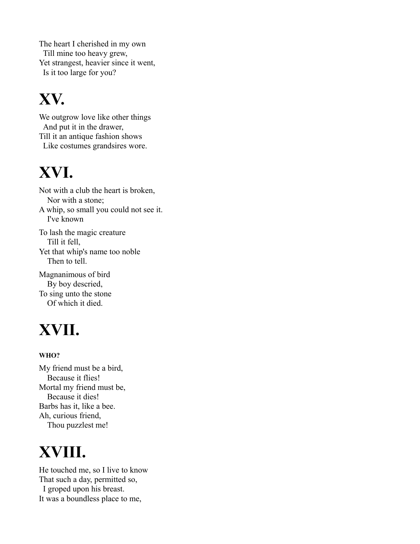The heart I cherished in my own Till mine too heavy grew, Yet strangest, heavier since it went, Is it too large for you?

# **XV.**

We outgrow love like other things And put it in the drawer, Till it an antique fashion shows Like costumes grandsires wore.

# **XVI.**

Not with a club the heart is broken, Nor with a stone; A whip, so small you could not see it. I've known To lash the magic creature Till it fell, Yet that whip's name too noble Then to tell.

Magnanimous of bird By boy descried, To sing unto the stone Of which it died.

# **XVII.**

#### **WHO?**

My friend must be a bird, Because it flies! Mortal my friend must be, Because it dies! Barbs has it, like a bee. Ah, curious friend, Thou puzzlest me!

# **XVIII.**

He touched me, so I live to know That such a day, permitted so, I groped upon his breast. It was a boundless place to me,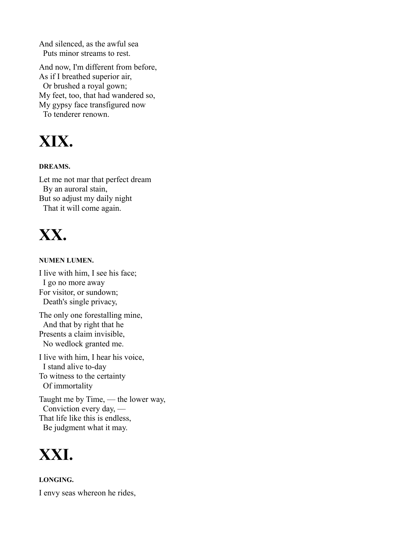And silenced, as the awful sea Puts minor streams to rest.

And now, I'm different from before, As if I breathed superior air, Or brushed a royal gown; My feet, too, that had wandered so, My gypsy face transfigured now To tenderer renown.

### **XIX.**

#### **DREAMS.**

Let me not mar that perfect dream By an auroral stain, But so adjust my daily night That it will come again.

### **XX.**

#### **NUMEN LUMEN.**

I live with him, I see his face; I go no more away For visitor, or sundown; Death's single privacy,

The only one forestalling mine, And that by right that he Presents a claim invisible, No wedlock granted me.

I live with him, I hear his voice, I stand alive to-day To witness to the certainty Of immortality

Taught me by Time, — the lower way, Conviction every day, — That life like this is endless, Be judgment what it may.



**LONGING.** I envy seas whereon he rides,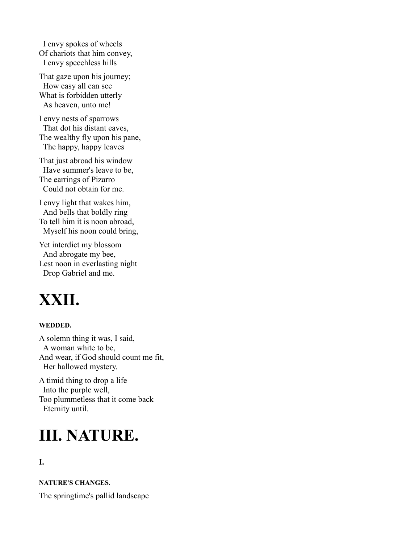I envy spokes of wheels Of chariots that him convey, I envy speechless hills

That gaze upon his journey; How easy all can see What is forbidden utterly As heaven, unto me!

I envy nests of sparrows That dot his distant eaves, The wealthy fly upon his pane, The happy, happy leaves

That just abroad his window Have summer's leave to be, The earrings of Pizarro Could not obtain for me.

I envy light that wakes him, And bells that boldly ring To tell him it is noon abroad, — Myself his noon could bring,

Yet interdict my blossom And abrogate my bee, Lest noon in everlasting night Drop Gabriel and me.

### **XXII.**

#### **WEDDED.**

A solemn thing it was, I said, A woman white to be, And wear, if God should count me fit, Her hallowed mystery.

A timid thing to drop a life Into the purple well, Too plummetless that it come back Eternity until.

### **III. NATURE.**

#### **I.**

**NATURE'S CHANGES.**

The springtime's pallid landscape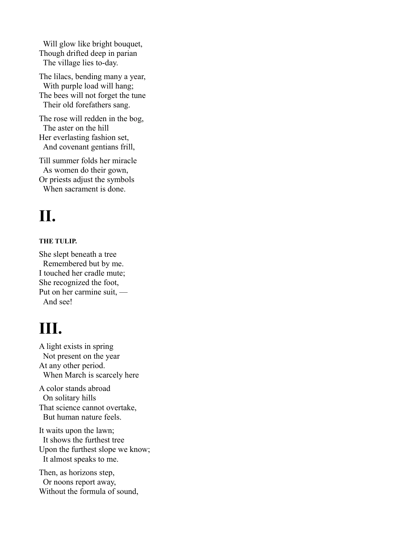Will glow like bright bouquet, Though drifted deep in parian The village lies to-day.

The lilacs, bending many a year, With purple load will hang; The bees will not forget the tune Their old forefathers sang.

The rose will redden in the bog, The aster on the hill Her everlasting fashion set, And covenant gentians frill,

Till summer folds her miracle As women do their gown, Or priests adjust the symbols When sacrament is done.

### **II.**

#### **THE TULIP.**

She slept beneath a tree Remembered but by me. I touched her cradle mute; She recognized the foot, Put on her carmine suit, — And see!

### **III.**

A light exists in spring Not present on the year At any other period. When March is scarcely here

A color stands abroad On solitary hills That science cannot overtake, But human nature feels.

It waits upon the lawn; It shows the furthest tree Upon the furthest slope we know; It almost speaks to me.

Then, as horizons step, Or noons report away, Without the formula of sound,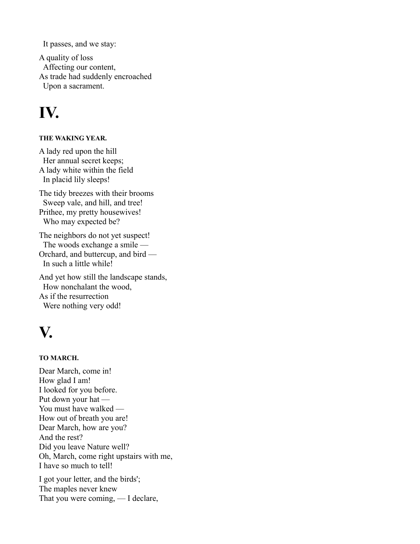It passes, and we stay:

A quality of loss Affecting our content, As trade had suddenly encroached Upon a sacrament.

### **IV.**

#### **THE WAKING YEAR.**

A lady red upon the hill Her annual secret keeps; A lady white within the field In placid lily sleeps!

The tidy breezes with their brooms Sweep vale, and hill, and tree! Prithee, my pretty housewives! Who may expected be?

The neighbors do not yet suspect! The woods exchange a smile — Orchard, and buttercup, and bird — In such a little while!

And yet how still the landscape stands, How nonchalant the wood, As if the resurrection Were nothing very odd!

### **V.**

#### **TO MARCH.**

Dear March, come in! How glad I am! I looked for you before. Put down your hat — You must have walked — How out of breath you are! Dear March, how are you? And the rest? Did you leave Nature well? Oh, March, come right upstairs with me, I have so much to tell!

I got your letter, and the birds'; The maples never knew That you were coming, — I declare,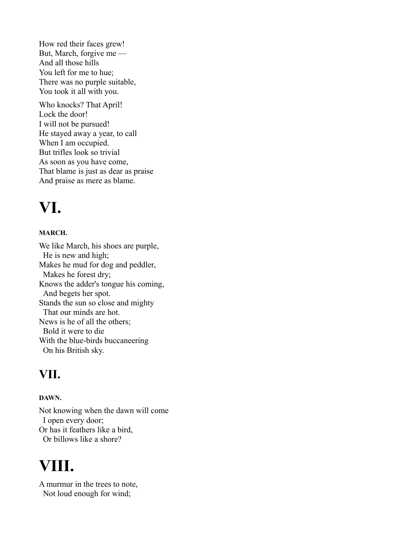How red their faces grew! But, March, forgive me — And all those hills You left for me to hue; There was no purple suitable, You took it all with you.

Who knocks? That April! Lock the door! I will not be pursued! He stayed away a year, to call When I am occupied. But trifles look so trivial As soon as you have come, That blame is just as dear as praise And praise as mere as blame.

### **VI.**

#### **MARCH.**

We like March, his shoes are purple, He is new and high; Makes he mud for dog and peddler, Makes he forest dry; Knows the adder's tongue his coming, And begets her spot. Stands the sun so close and mighty That our minds are hot. News is he of all the others; Bold it were to die With the blue-birds buccaneering On his British sky.

### **VII.**

#### **DAWN.**

Not knowing when the dawn will come I open every door; Or has it feathers like a bird, Or billows like a shore?

### **VIII.**

A murmur in the trees to note, Not loud enough for wind;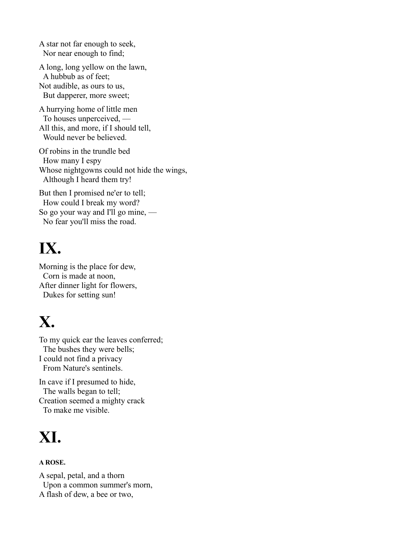A star not far enough to seek, Nor near enough to find;

A long, long yellow on the lawn, A hubbub as of feet; Not audible, as ours to us, But dapperer, more sweet;

A hurrying home of little men To houses unperceived, — All this, and more, if I should tell, Would never be believed.

Of robins in the trundle bed How many I espy Whose nightgowns could not hide the wings, Although I heard them try!

But then I promised ne'er to tell; How could I break my word? So go your way and I'll go mine, — No fear you'll miss the road.

# **IX.**

Morning is the place for dew, Corn is made at noon, After dinner light for flowers, Dukes for setting sun!

### **X.**

To my quick ear the leaves conferred; The bushes they were bells; I could not find a privacy From Nature's sentinels.

In cave if I presumed to hide, The walls began to tell; Creation seemed a mighty crack To make me visible.

# **XI.**

#### **A ROSE.**

A sepal, petal, and a thorn Upon a common summer's morn, A flash of dew, a bee or two,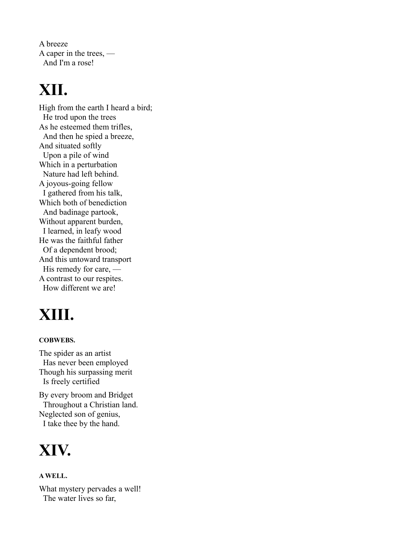A breeze A caper in the trees, — And I'm a rose!

### **XII.**

High from the earth I heard a bird; He trod upon the trees As he esteemed them trifles, And then he spied a breeze, And situated softly Upon a pile of wind Which in a perturbation Nature had left behind. A joyous-going fellow I gathered from his talk, Which both of benediction And badinage partook, Without apparent burden, I learned, in leafy wood He was the faithful father Of a dependent brood; And this untoward transport His remedy for care, — A contrast to our respites. How different we are!

# **XIII.**

#### **COBWEBS.**

The spider as an artist Has never been employed Though his surpassing merit Is freely certified

By every broom and Bridget Throughout a Christian land. Neglected son of genius, I take thee by the hand.

### **XIV.**

#### **A WELL.**

What mystery pervades a well! The water lives so far,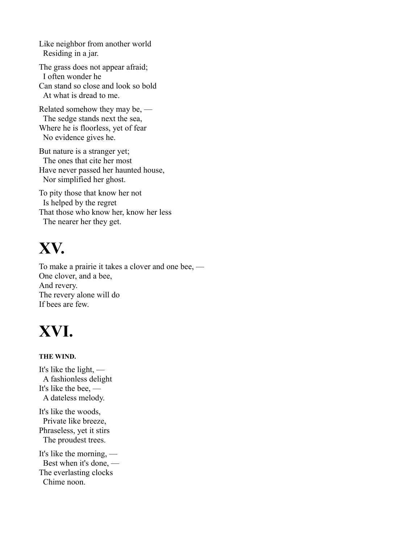Like neighbor from another world Residing in a jar.

The grass does not appear afraid; I often wonder he Can stand so close and look so bold At what is dread to me.

Related somehow they may be, — The sedge stands next the sea, Where he is floorless, yet of fear No evidence gives he.

But nature is a stranger yet; The ones that cite her most Have never passed her haunted house, Nor simplified her ghost.

To pity those that know her not Is helped by the regret That those who know her, know her less The nearer her they get.

### **XV.**

To make a prairie it takes a clover and one bee, — One clover, and a bee, And revery. The revery alone will do If bees are few.

# **XVI.**

#### **THE WIND.**

It's like the light, — A fashionless delight It's like the bee, — A dateless melody. It's like the woods, Private like breeze,

Phraseless, yet it stirs The proudest trees.

It's like the morning, — Best when it's done, — The everlasting clocks Chime noon.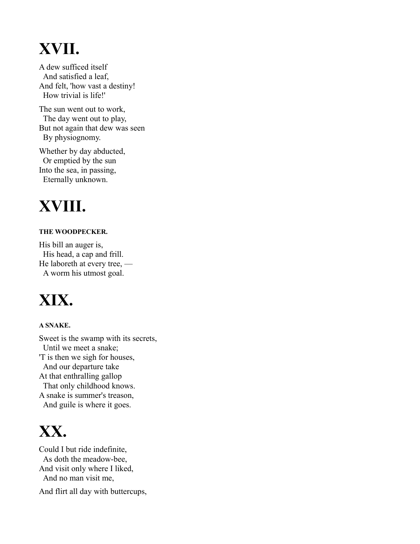# **XVII.**

A dew sufficed itself And satisfied a leaf, And felt, 'how vast a destiny! How trivial is life!'

The sun went out to work, The day went out to play, But not again that dew was seen By physiognomy.

Whether by day abducted, Or emptied by the sun Into the sea, in passing, Eternally unknown.

# **XVIII.**

#### **THE WOODPECKER.**

His bill an auger is, His head, a cap and frill. He laboreth at every tree, — A worm his utmost goal.

### **XIX.**

#### **A SNAKE.**

Sweet is the swamp with its secrets, Until we meet a snake; 'T is then we sigh for houses, And our departure take At that enthralling gallop That only childhood knows. A snake is summer's treason, And guile is where it goes.

### **XX.**

Could I but ride indefinite, As doth the meadow-bee, And visit only where I liked, And no man visit me,

And flirt all day with buttercups,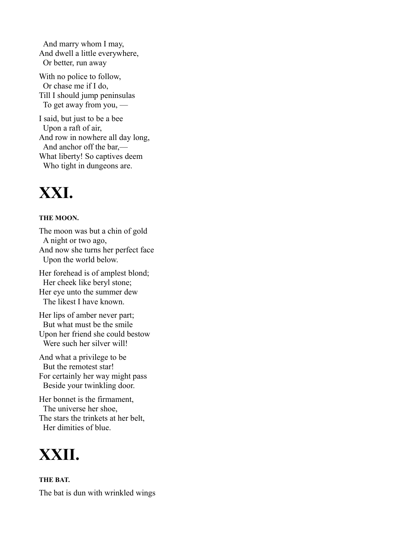And marry whom I may, And dwell a little everywhere, Or better, run away

With no police to follow, Or chase me if I do, Till I should jump peninsulas To get away from you, —

I said, but just to be a bee Upon a raft of air, And row in nowhere all day long, And anchor off the bar,— What liberty! So captives deem Who tight in dungeons are.

### **XXI.**

#### **THE MOON.**

The moon was but a chin of gold A night or two ago, And now she turns her perfect face Upon the world below.

Her forehead is of amplest blond; Her cheek like beryl stone; Her eye unto the summer dew The likest I have known.

Her lips of amber never part; But what must be the smile Upon her friend she could bestow Were such her silver will!

And what a privilege to be But the remotest star! For certainly her way might pass Beside your twinkling door.

Her bonnet is the firmament, The universe her shoe, The stars the trinkets at her belt, Her dimities of blue.



**THE BAT.** The bat is dun with wrinkled wings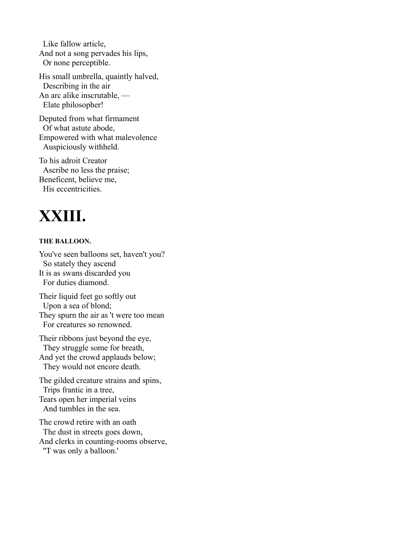Like fallow article, And not a song pervades his lips, Or none perceptible.

His small umbrella, quaintly halved, Describing in the air An arc alike inscrutable, — Elate philosopher!

Deputed from what firmament Of what astute abode, Empowered with what malevolence Auspiciously withheld.

To his adroit Creator Ascribe no less the praise; Beneficent, believe me, His eccentricities.

### **XXIII.**

#### **THE BALLOON.**

You've seen balloons set, haven't you? So stately they ascend It is as swans discarded you For duties diamond.

Their liquid feet go softly out Upon a sea of blond; They spurn the air as 't were too mean For creatures so renowned.

Their ribbons just beyond the eye, They struggle some for breath, And yet the crowd applauds below; They would not encore death.

The gilded creature strains and spins, Trips frantic in a tree, Tears open her imperial veins And tumbles in the sea.

The crowd retire with an oath The dust in streets goes down, And clerks in counting-rooms observe, ''T was only a balloon.'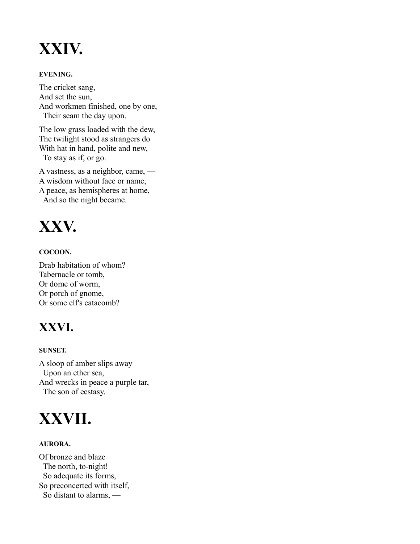### **XXIV.**

#### **EVENING.**

The cricket sang, And set the sun, And workmen finished, one by one, Their seam the day upon.

The low grass loaded with the dew, The twilight stood as strangers do With hat in hand, polite and new, To stay as if, or go.

A vastness, as a neighbor, came, — A wisdom without face or name, A peace, as hemispheres at home, — And so the night became.



#### **COCOON.**

Drab habitation of whom? Tabernacle or tomb, Or dome of worm, Or porch of gnome, Or some elf's catacomb?

### **XXVI.**

#### **SUNSET.**

A sloop of amber slips away Upon an ether sea, And wrecks in peace a purple tar, The son of ecstasy.



#### **AURORA.**

Of bronze and blaze The north, to-night! So adequate its forms, So preconcerted with itself, So distant to alarms, —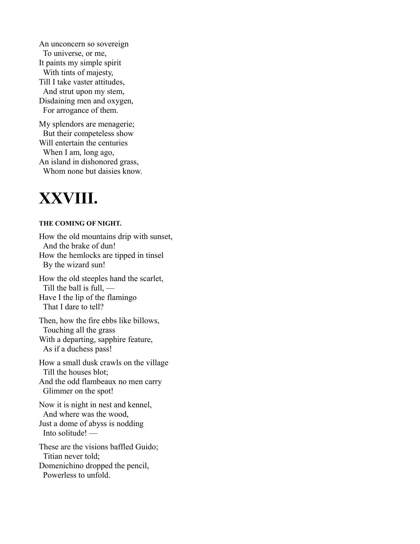An unconcern so sovereign To universe, or me, It paints my simple spirit With tints of majesty, Till I take vaster attitudes, And strut upon my stem, Disdaining men and oxygen, For arrogance of them.

My splendors are menagerie; But their competeless show Will entertain the centuries When I am, long ago, An island in dishonored grass, Whom none but daisies know.

### **XXVIII.**

#### **THE COMING OF NIGHT.**

How the old mountains drip with sunset, And the brake of dun! How the hemlocks are tipped in tinsel By the wizard sun! How the old steeples hand the scarlet, Till the ball is full, — Have I the lip of the flamingo That I dare to tell? Then, how the fire ebbs like billows, Touching all the grass With a departing, sapphire feature, As if a duchess pass! How a small dusk crawls on the village Till the houses blot; And the odd flambeaux no men carry Glimmer on the spot! Now it is night in nest and kennel, And where was the wood, Just a dome of abyss is nodding Into solitude! — These are the visions baffled Guido; Titian never told; Domenichino dropped the pencil, Powerless to unfold.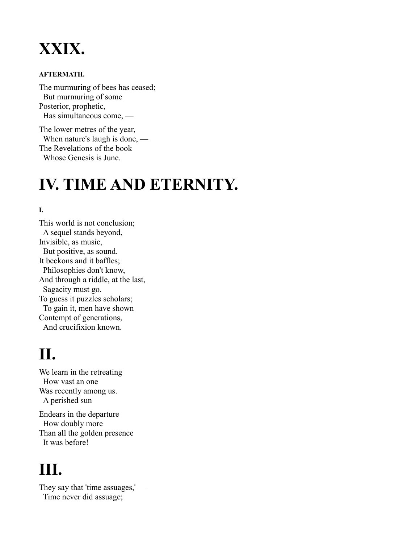### **XXIX.**

#### **AFTERMATH.**

The murmuring of bees has ceased; But murmuring of some Posterior, prophetic, Has simultaneous come, —

The lower metres of the year, When nature's laugh is done, — The Revelations of the book Whose Genesis is June.

### **IV. TIME AND ETERNITY.**

#### **I.**

This world is not conclusion; A sequel stands beyond, Invisible, as music, But positive, as sound. It beckons and it baffles; Philosophies don't know, And through a riddle, at the last, Sagacity must go. To guess it puzzles scholars; To gain it, men have shown Contempt of generations, And crucifixion known.

### **II.**

We learn in the retreating How vast an one Was recently among us. A perished sun

Endears in the departure How doubly more Than all the golden presence It was before!

### **III.**

They say that 'time assuages,' — Time never did assuage;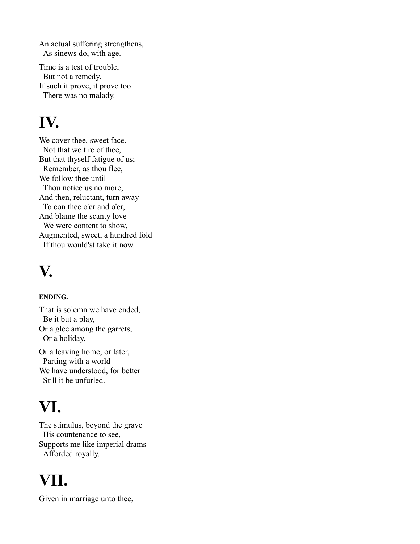An actual suffering strengthens, As sinews do, with age.

Time is a test of trouble, But not a remedy. If such it prove, it prove too There was no malady.

# **IV.**

We cover thee, sweet face. Not that we tire of thee, But that thyself fatigue of us; Remember, as thou flee, We follow thee until Thou notice us no more, And then, reluctant, turn away To con thee o'er and o'er, And blame the scanty love We were content to show, Augmented, sweet, a hundred fold If thou would'st take it now.

### **V.**

#### **ENDING.**

That is solemn we have ended, — Be it but a play, Or a glee among the garrets, Or a holiday,

Or a leaving home; or later, Parting with a world We have understood, for better Still it be unfurled.

# **VI.**

The stimulus, beyond the grave His countenance to see, Supports me like imperial drams Afforded royally.

# **VII.**

Given in marriage unto thee,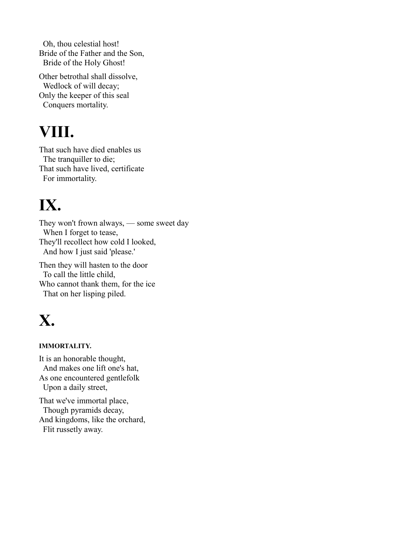Oh, thou celestial host! Bride of the Father and the Son, Bride of the Holy Ghost!

Other betrothal shall dissolve, Wedlock of will decay; Only the keeper of this seal Conquers mortality.

# **VIII.**

That such have died enables us The tranquiller to die; That such have lived, certificate For immortality.

# **IX.**

They won't frown always, — some sweet day When I forget to tease, They'll recollect how cold I looked, And how I just said 'please.'

Then they will hasten to the door To call the little child, Who cannot thank them, for the ice That on her lisping piled.

# **X.**

#### **IMMORTALITY.**

It is an honorable thought, And makes one lift one's hat, As one encountered gentlefolk Upon a daily street,

That we've immortal place, Though pyramids decay, And kingdoms, like the orchard, Flit russetly away.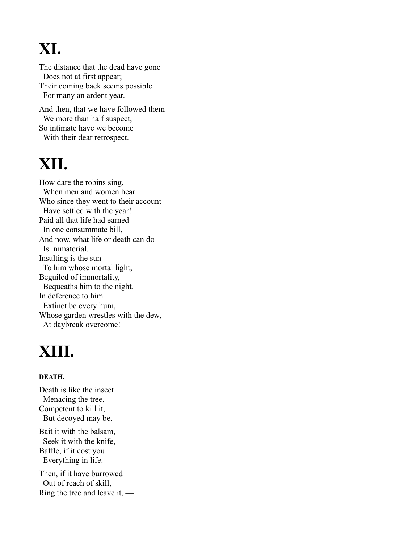# **XI.**

The distance that the dead have gone Does not at first appear; Their coming back seems possible For many an ardent year.

And then, that we have followed them We more than half suspect, So intimate have we become With their dear retrospect.

### **XII.**

How dare the robins sing, When men and women hear Who since they went to their account Have settled with the year! — Paid all that life had earned In one consummate bill, And now, what life or death can do Is immaterial. Insulting is the sun To him whose mortal light, Beguiled of immortality, Bequeaths him to the night. In deference to him Extinct be every hum, Whose garden wrestles with the dew, At daybreak overcome!

### **XIII.**

#### **DEATH.**

Death is like the insect Menacing the tree, Competent to kill it, But decoyed may be.

Bait it with the balsam, Seek it with the knife, Baffle, if it cost you Everything in life.

Then, if it have burrowed Out of reach of skill, Ring the tree and leave it, —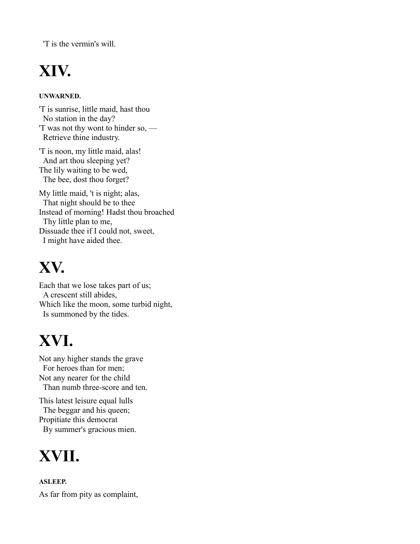'T is the vermin's will.

# **XIV.**

#### **UNWARNED.**

'T is sunrise, little maid, hast thou No station in the day? 'T was not thy wont to hinder so, — Retrieve thine industry.

'T is noon, my little maid, alas! And art thou sleeping yet? The lily waiting to be wed, The bee, dost thou forget?

My little maid, 't is night; alas, That night should be to thee Instead of morning! Hadst thou broached Thy little plan to me, Dissuade thee if I could not, sweet, I might have aided thee.

### **XV.**

Each that we lose takes part of us; A crescent still abides, Which like the moon, some turbid night, Is summoned by the tides.

# **XVI.**

Not any higher stands the grave For heroes than for men; Not any nearer for the child Than numb three-score and ten.

This latest leisure equal lulls The beggar and his queen; Propitiate this democrat By summer's gracious mien.

### **XVII.**

**ASLEEP.** As far from pity as complaint,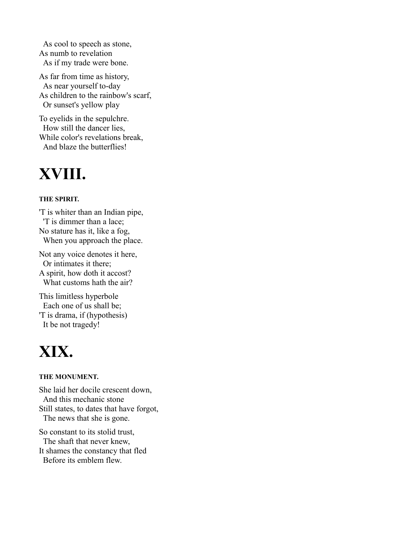As cool to speech as stone, As numb to revelation As if my trade were bone.

As far from time as history, As near yourself to-day As children to the rainbow's scarf, Or sunset's yellow play

To eyelids in the sepulchre. How still the dancer lies, While color's revelations break, And blaze the butterflies!

### **XVIII.**

#### **THE SPIRIT.**

'T is whiter than an Indian pipe, 'T is dimmer than a lace; No stature has it, like a fog, When you approach the place.

Not any voice denotes it here, Or intimates it there; A spirit, how doth it accost? What customs hath the air?

This limitless hyperbole Each one of us shall be; 'T is drama, if (hypothesis) It be not tragedy!

### **XIX.**

#### **THE MONUMENT.**

She laid her docile crescent down, And this mechanic stone Still states, to dates that have forgot, The news that she is gone.

So constant to its stolid trust, The shaft that never knew, It shames the constancy that fled Before its emblem flew.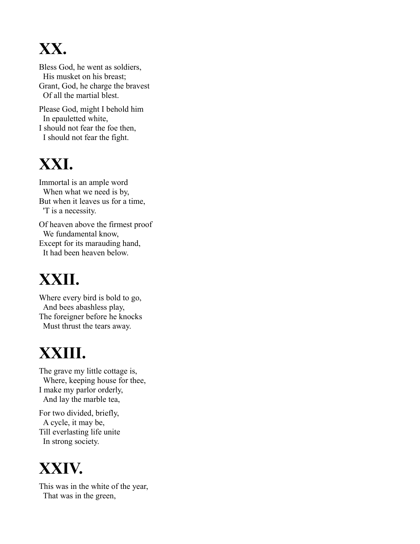# **XX.**

Bless God, he went as soldiers, His musket on his breast; Grant, God, he charge the bravest Of all the martial blest.

Please God, might I behold him In epauletted white, I should not fear the foe then, I should not fear the fight.

### **XXI.**

Immortal is an ample word When what we need is by, But when it leaves us for a time, 'T is a necessity.

Of heaven above the firmest proof We fundamental know, Except for its marauding hand, It had been heaven below.

# **XXII.**

Where every bird is bold to go, And bees abashless play, The foreigner before he knocks Must thrust the tears away.

# **XXIII.**

The grave my little cottage is, Where, keeping house for thee, I make my parlor orderly, And lay the marble tea,

For two divided, briefly, A cycle, it may be, Till everlasting life unite In strong society.

### **XXIV.**

This was in the white of the year, That was in the green,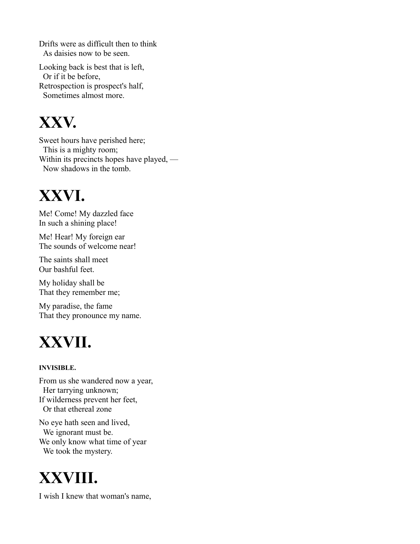Drifts were as difficult then to think As daisies now to be seen.

Looking back is best that is left, Or if it be before, Retrospection is prospect's half, Sometimes almost more.

### **XXV.**

Sweet hours have perished here; This is a mighty room; Within its precincts hopes have played, — Now shadows in the tomb.

### **XXVI.**

Me! Come! My dazzled face In such a shining place!

Me! Hear! My foreign ear The sounds of welcome near!

The saints shall meet Our bashful feet.

My holiday shall be That they remember me;

My paradise, the fame That they pronounce my name.

# **XXVII.**

#### **INVISIBLE.**

From us she wandered now a year, Her tarrying unknown; If wilderness prevent her feet, Or that ethereal zone

No eye hath seen and lived, We ignorant must be. We only know what time of year We took the mystery.

# **XXVIII.**

I wish I knew that woman's name,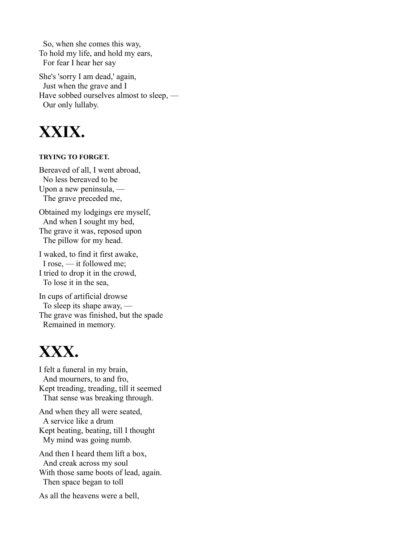So, when she comes this way, To hold my life, and hold my ears, For fear I hear her say

She's 'sorry I am dead,' again, Just when the grave and I Have sobbed ourselves almost to sleep, — Our only lullaby.



#### **TRYING TO FORGET.**

Bereaved of all, I went abroad, No less bereaved to be Upon a new peninsula, — The grave preceded me,

Obtained my lodgings ere myself, And when I sought my bed, The grave it was, reposed upon The pillow for my head.

I waked, to find it first awake, I rose, — it followed me; I tried to drop it in the crowd, To lose it in the sea,

In cups of artificial drowse To sleep its shape away, — The grave was finished, but the spade Remained in memory.

### **XXX.**

I felt a funeral in my brain, And mourners, to and fro, Kept treading, treading, till it seemed That sense was breaking through.

And when they all were seated, A service like a drum Kept beating, beating, till I thought My mind was going numb.

And then I heard them lift a box, And creak across my soul With those same boots of lead, again. Then space began to toll

As all the heavens were a bell,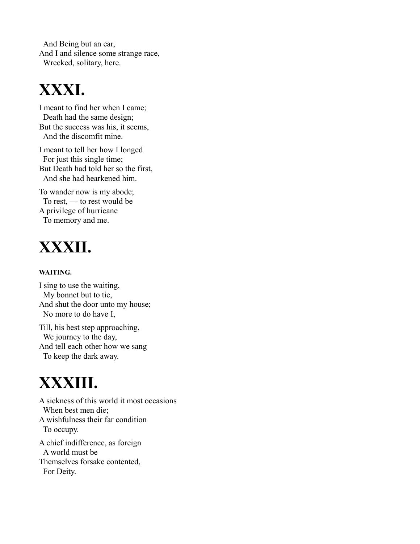And Being but an ear, And I and silence some strange race, Wrecked, solitary, here.

### **XXXI.**

I meant to find her when I came; Death had the same design; But the success was his, it seems, And the discomfit mine.

I meant to tell her how I longed For just this single time; But Death had told her so the first, And she had hearkened him.

To wander now is my abode; To rest, — to rest would be A privilege of hurricane To memory and me.

# **XXXII.**

#### **WAITING.**

I sing to use the waiting, My bonnet but to tie, And shut the door unto my house; No more to do have I,

Till, his best step approaching, We journey to the day, And tell each other how we sang To keep the dark away.

### **XXXIII.**

A sickness of this world it most occasions When best men die; A wishfulness their far condition To occupy. A chief indifference, as foreign A world must be Themselves forsake contented, For Deity.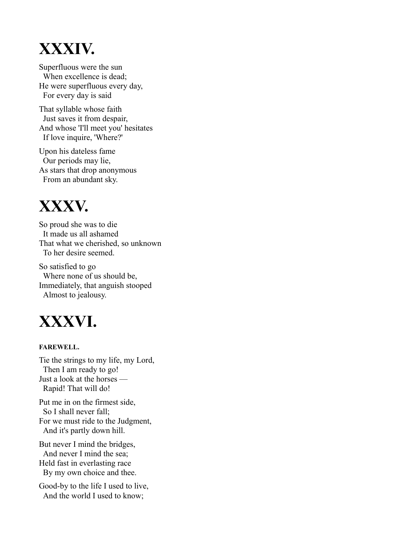### **XXXIV.**

Superfluous were the sun When excellence is dead; He were superfluous every day, For every day is said

That syllable whose faith Just saves it from despair, And whose 'I'll meet you' hesitates If love inquire, 'Where?'

Upon his dateless fame Our periods may lie, As stars that drop anonymous From an abundant sky.

### **XXXV.**

So proud she was to die It made us all ashamed That what we cherished, so unknown To her desire seemed.

So satisfied to go Where none of us should be, Immediately, that anguish stooped Almost to jealousy.

### **XXXVI.**

#### **FAREWELL.**

Tie the strings to my life, my Lord, Then I am ready to go! Just a look at the horses — Rapid! That will do!

Put me in on the firmest side, So I shall never fall; For we must ride to the Judgment, And it's partly down hill.

But never I mind the bridges, And never I mind the sea; Held fast in everlasting race By my own choice and thee.

Good-by to the life I used to live, And the world I used to know;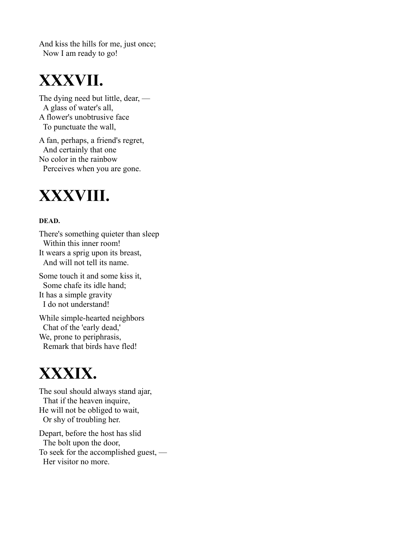And kiss the hills for me, just once; Now I am ready to go!

### **XXXVII.**

The dying need but little, dear, — A glass of water's all, A flower's unobtrusive face To punctuate the wall,

A fan, perhaps, a friend's regret, And certainly that one No color in the rainbow Perceives when you are gone.

### **XXXVIII.**

#### **DEAD.**

There's something quieter than sleep Within this inner room! It wears a sprig upon its breast, And will not tell its name.

Some touch it and some kiss it, Some chafe its idle hand; It has a simple gravity I do not understand!

While simple-hearted neighbors Chat of the 'early dead,' We, prone to periphrasis, Remark that birds have fled!

### **XXXIX.**

The soul should always stand ajar, That if the heaven inquire, He will not be obliged to wait, Or shy of troubling her.

Depart, before the host has slid The bolt upon the door, To seek for the accomplished guest, — Her visitor no more.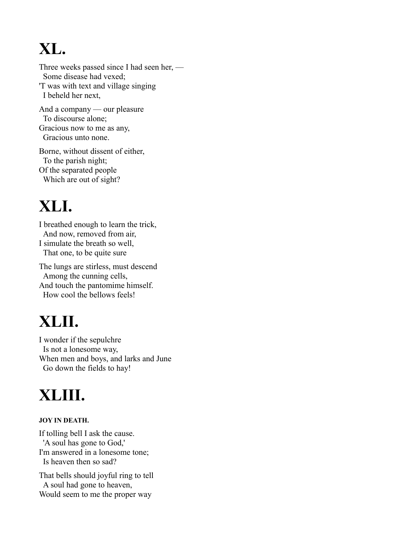# **XL.**

Three weeks passed since I had seen her, — Some disease had vexed; 'T was with text and village singing I beheld her next, And a company — our pleasure

To discourse alone; Gracious now to me as any, Gracious unto none.

Borne, without dissent of either, To the parish night; Of the separated people Which are out of sight?

# **XLI.**

I breathed enough to learn the trick, And now, removed from air, I simulate the breath so well, That one, to be quite sure

The lungs are stirless, must descend Among the cunning cells, And touch the pantomime himself. How cool the bellows feels!

# **XLII.**

I wonder if the sepulchre Is not a lonesome way, When men and boys, and larks and June Go down the fields to hay!

# **XLIII.**

#### **JOY IN DEATH.**

If tolling bell I ask the cause. 'A soul has gone to God,' I'm answered in a lonesome tone; Is heaven then so sad?

That bells should joyful ring to tell A soul had gone to heaven, Would seem to me the proper way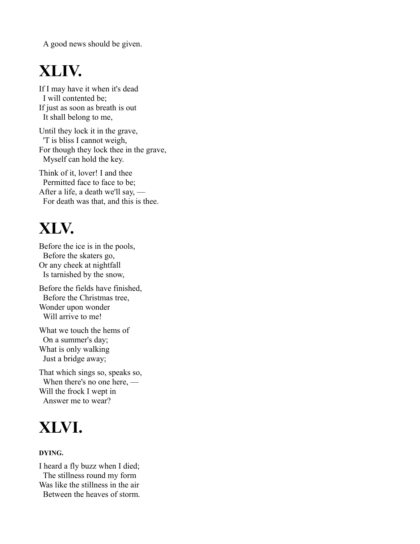A good news should be given.

### **XLIV.**

If I may have it when it's dead I will contented be; If just as soon as breath is out It shall belong to me,

Until they lock it in the grave, 'T is bliss I cannot weigh, For though they lock thee in the grave, Myself can hold the key.

Think of it, lover! I and thee Permitted face to face to be; After a life, a death we'll say, — For death was that, and this is thee.

# **XLV.**

Before the ice is in the pools, Before the skaters go, Or any cheek at nightfall Is tarnished by the snow,

Before the fields have finished, Before the Christmas tree, Wonder upon wonder Will arrive to me!

What we touch the hems of On a summer's day; What is only walking Just a bridge away;

That which sings so, speaks so, When there's no one here, — Will the frock I wept in Answer me to wear?

# **XLVI.**

#### **DYING.**

I heard a fly buzz when I died; The stillness round my form Was like the stillness in the air Between the heaves of storm.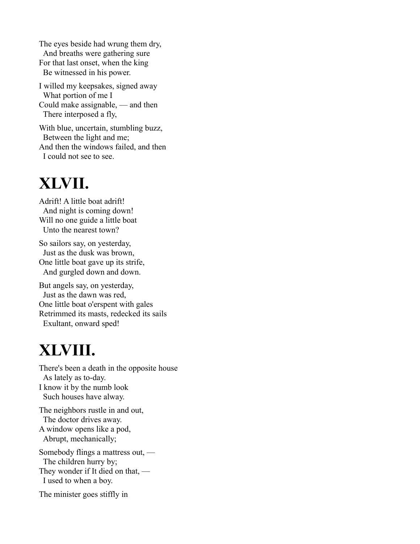The eyes beside had wrung them dry, And breaths were gathering sure For that last onset, when the king Be witnessed in his power.

I willed my keepsakes, signed away What portion of me I Could make assignable, — and then There interposed a fly,

With blue, uncertain, stumbling buzz, Between the light and me; And then the windows failed, and then I could not see to see.

### **XLVII.**

Adrift! A little boat adrift! And night is coming down! Will no one guide a little boat Unto the nearest town?

So sailors say, on yesterday, Just as the dusk was brown, One little boat gave up its strife, And gurgled down and down.

But angels say, on yesterday, Just as the dawn was red, One little boat o'erspent with gales Retrimmed its masts, redecked its sails Exultant, onward sped!

# **XLVIII.**

There's been a death in the opposite house As lately as to-day. I know it by the numb look Such houses have alway.

The neighbors rustle in and out, The doctor drives away. A window opens like a pod, Abrupt, mechanically;

Somebody flings a mattress out, — The children hurry by; They wonder if It died on that, — I used to when a boy.

The minister goes stiffly in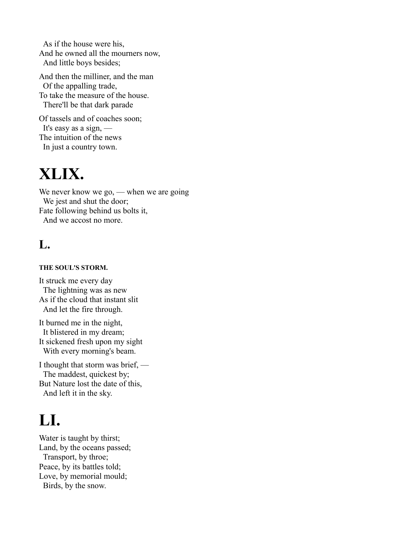As if the house were his, And he owned all the mourners now, And little boys besides;

And then the milliner, and the man Of the appalling trade, To take the measure of the house. There'll be that dark parade

Of tassels and of coaches soon; It's easy as a sign, — The intuition of the news In just a country town.

### **XLIX.**

We never know we go, — when we are going We jest and shut the door; Fate following behind us bolts it, And we accost no more.

### **L.**

#### **THE SOUL'S STORM.**

It struck me every day The lightning was as new As if the cloud that instant slit And let the fire through.

It burned me in the night, It blistered in my dream; It sickened fresh upon my sight With every morning's beam.

I thought that storm was brief, — The maddest, quickest by; But Nature lost the date of this, And left it in the sky.

### **LI.**

Water is taught by thirst; Land, by the oceans passed; Transport, by throe; Peace, by its battles told; Love, by memorial mould; Birds, by the snow.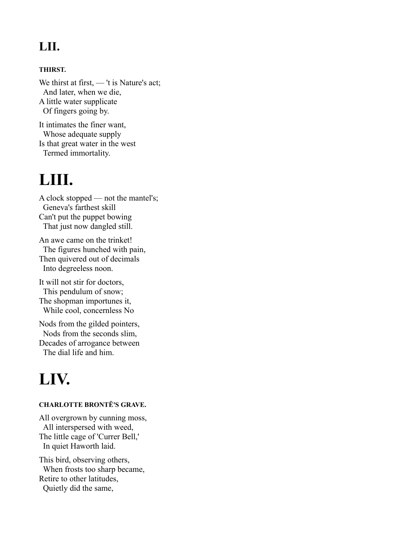### **LII.**

#### **THIRST.**

We thirst at first, — 't is Nature's act; And later, when we die, A little water supplicate Of fingers going by. It intimates the finer want,

Whose adequate supply Is that great water in the west Termed immortality.

### **LIII.**

A clock stopped — not the mantel's; Geneva's farthest skill Can't put the puppet bowing That just now dangled still.

An awe came on the trinket! The figures hunched with pain, Then quivered out of decimals Into degreeless noon.

It will not stir for doctors, This pendulum of snow; The shopman importunes it, While cool, concernless No

Nods from the gilded pointers, Nods from the seconds slim, Decades of arrogance between The dial life and him.

### **LIV.**

#### **CHARLOTTE BRONTË'S GRAVE.**

All overgrown by cunning moss, All interspersed with weed, The little cage of 'Currer Bell,' In quiet Haworth laid.

This bird, observing others, When frosts too sharp became, Retire to other latitudes, Quietly did the same,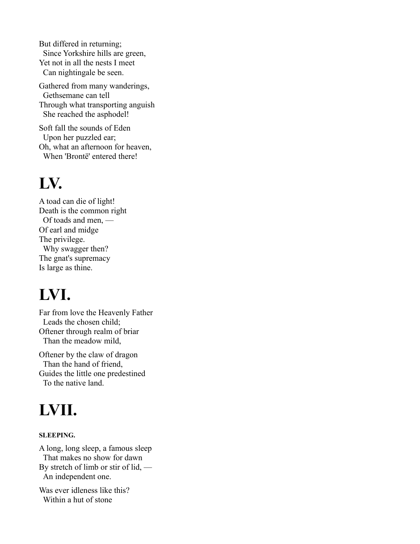But differed in returning; Since Yorkshire hills are green, Yet not in all the nests I meet Can nightingale be seen.

Gathered from many wanderings, Gethsemane can tell Through what transporting anguish She reached the asphodel!

Soft fall the sounds of Eden Upon her puzzled ear; Oh, what an afternoon for heaven, When 'Brontë' entered there!

### **LV.**

A toad can die of light! Death is the common right Of toads and men, — Of earl and midge The privilege. Why swagger then? The gnat's supremacy Is large as thine.

# **LVI.**

Far from love the Heavenly Father Leads the chosen child; Oftener through realm of briar Than the meadow mild,

Oftener by the claw of dragon Than the hand of friend, Guides the little one predestined To the native land.

# **LVII.**

#### **SLEEPING.**

A long, long sleep, a famous sleep That makes no show for dawn By stretch of limb or stir of lid, — An independent one.

Was ever idleness like this? Within a hut of stone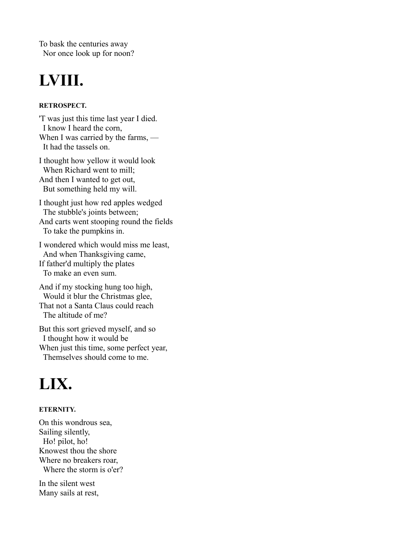To bask the centuries away Nor once look up for noon?

# **LVIII.**

#### **RETROSPECT.**

'T was just this time last year I died. I know I heard the corn, When I was carried by the farms, — It had the tassels on.

I thought how yellow it would look When Richard went to mill; And then I wanted to get out, But something held my will.

I thought just how red apples wedged The stubble's joints between; And carts went stooping round the fields To take the pumpkins in.

I wondered which would miss me least, And when Thanksgiving came, If father'd multiply the plates To make an even sum.

And if my stocking hung too high, Would it blur the Christmas glee, That not a Santa Claus could reach The altitude of me?

But this sort grieved myself, and so I thought how it would be When just this time, some perfect year, Themselves should come to me.

### **LIX.**

#### **ETERNITY.**

On this wondrous sea, Sailing silently, Ho! pilot, ho! Knowest thou the shore Where no breakers roar, Where the storm is o'er?

In the silent west Many sails at rest,